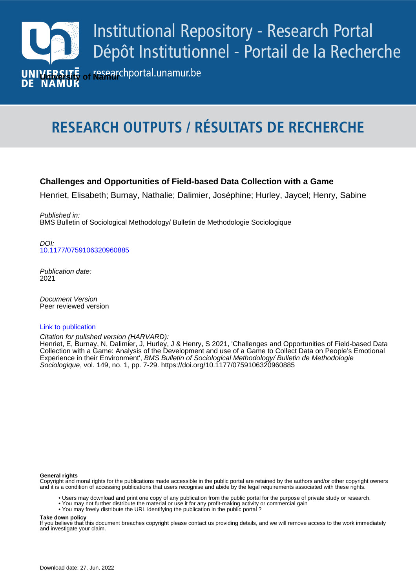

# **RESEARCH OUTPUTS / RÉSULTATS DE RECHERCHE**

# **Challenges and Opportunities of Field-based Data Collection with a Game**

Henriet, Elisabeth; Burnay, Nathalie; Dalimier, Joséphine; Hurley, Jaycel; Henry, Sabine

Published in: BMS Bulletin of Sociological Methodology/ Bulletin de Methodologie Sociologique

*DOI:*<br>[10.1177/0759106320960885](https://doi.org/10.1177/0759106320960885) DOI:

> Publication date: 2021

**Publication de publication**<br>Peer reviewed version Document Version

## [Link to publication](https://researchportal.unamur.be/en/publications/0e5b2a51-c90a-429d-b45e-92a08929c7a8)

Citation for pulished version (HARVARD):

**Collection with a Game: Analys** Henriet, E, Burnay, N, Dalimier, J, Hurley, J & Henry, S 2021, 'Challenges and Opportunities of Field-based Data Collection with a Game: Analysis of the Development and use of a Game to Collect Data on People's Emotional Experience in their Environment', BMS Bulletin of Sociological Methodology/ Bulletin de Methodologie Sociologique, vol. 149, no. 1, pp. 7-29.<https://doi.org/10.1177/0759106320960885>

#### **General rights**

Copyright and moral rights for the publications made accessible in the public portal are retained by the authors and/or other copyright owners and it is a condition of accessing publications that users recognise and abide by the legal requirements associated with these rights.

- Users may download and print one copy of any publication from the public portal for the purpose of private study or research.
- You may not further distribute the material or use it for any profit-making activity or commercial gain
- You may freely distribute the URL identifying the publication in the public portal ?

#### **Take down policy**

If you believe that this document breaches copyright please contact us providing details, and we will remove access to the work immediately and investigate your claim.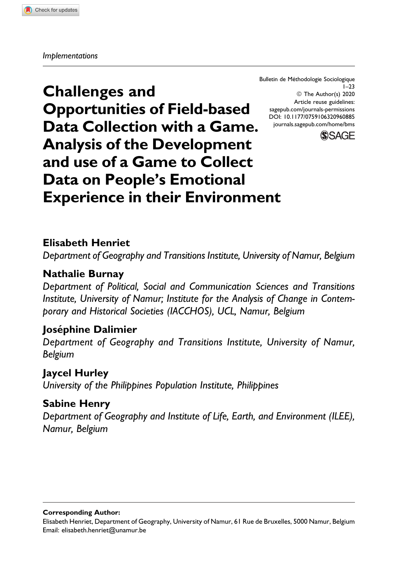Bulletin de Methodologie Sociologique ´ 1–23 © The Author(s) 2020 Article reuse guidelines: [sagepub.com/journals-permissions](https://sagepub.com/journals-permissions) [DOI: 10.1177/0759106320960885](https://doi.org/10.1177/0759106320960885) [journals.sagepub.com/home/bms](http://journals.sagepub.com/home/bms)



**Challenges and Opportunities of Field-based Data Collection with a Game. Analysis of the Development and use of a Game to Collect Data on People's Emotional Experience in their Environment**

# **Elisabeth Henriet**

*Department of Geography and Transitions Institute, University of Namur, Belgium*

# **Nathalie Burnay**

*Department of Political, Social and Communication Sciences and Transitions Institute, University of Namur; Institute for the Analysis of Change in Contemporary and Historical Societies (IACCHOS), UCL, Namur, Belgium*

# **Josephine Dalimier ´**

*Department of Geography and Transitions Institute, University of Namur, Belgium*

# **Jaycel Hurley**

*University of the Philippines Population Institute, Philippines*

# **Sabine Henry**

*Department of Geography and Institute of Life, Earth, and Environment (ILEE), Namur, Belgium*

**Corresponding Author:**

Elisabeth Henriet, Department of Geography, University of Namur, 61 Rue de Bruxelles, 5000 Namur, Belgium Email: [elisabeth.henriet@unamur.be](mailto:elisabeth.henriet@unamur.be)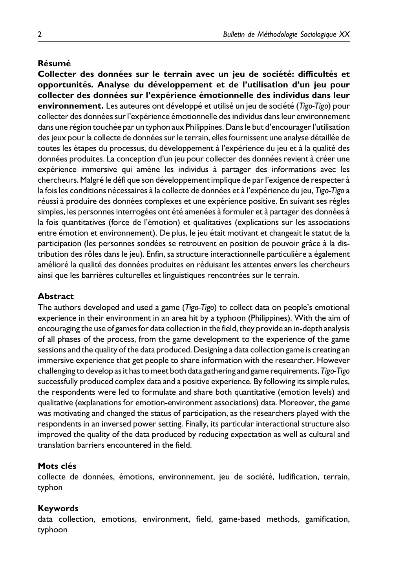### **Resum ´ e´**

**Collecter des donnees sur le terrain avec un jeu de soci ´ et´ e: difficult ´ es et ´ opportunites. Analyse du d ´ eveloppement et de l'utilisation d'un jeu pour ´ collecter des donnees sur l'exp ´ erience ´ emotionnelle des individus dans leur ´ environnement.** Les auteures ont développé et utilisé un jeu de société (Tigo-Tigo) pour collecter des données sur l'expérience émotionnelle des individus dans leur environnement dans une région touchée par un typhon aux Philippines. Dans le but d'encourager l'utilisation des jeux pour la collecte de données sur le terrain, elles fournissent une analyse détaillée de toutes les étapes du processus, du développement à l'expérience du jeu et à la qualité des données produites. La conception d'un jeu pour collecter des données revient à créer une expérience immersive qui amène les individus à partager des informations avec les chercheurs. Malgré le défi que son développement implique de par l'exigence de respecter à la fois les conditions nécessaires à la collecte de données et à l'expérience du jeu, *Tigo-Tigo* a réussi à produire des données complexes et une expérience positive. En suivant ses règles simples, les personnes interrogées ont été amenées à formuler et à partager des données à la fois quantitatives (force de l'émotion) et qualitatives (explications sur les associations entre émotion et environnement). De plus, le jeu était motivant et changeait le statut de la participation (les personnes sondées se retrouvent en position de pouvoir grâce à la distribution des rôles dans le jeu). Enfin, sa structure interactionnelle particulière a également amélioré la qualité des données produites en réduisant les attentes envers les chercheurs ainsi que les barrières culturelles et linguistiques rencontrées sur le terrain.

### **Abstract**

The authors developed and used a game (*Tigo-Tigo*) to collect data on people's emotional experience in their environment in an area hit by a typhoon (Philippines). With the aim of encouraging the use of games for data collection in the field, they provide an in-depth analysis of all phases of the process, from the game development to the experience of the game sessions and the quality of the data produced. Designing a data collection game is creating an immersive experience that get people to share information with the researcher. However challenging to develop as it has to meet both data gathering and game requirements, *Tigo-Tigo* successfully produced complex data and a positive experience. By following its simple rules, the respondents were led to formulate and share both quantitative (emotion levels) and qualitative (explanations for emotion-environment associations) data. Moreover, the game was motivating and changed the status of participation, as the researchers played with the respondents in an inversed power setting. Finally, its particular interactional structure also improved the quality of the data produced by reducing expectation as well as cultural and translation barriers encountered in the field.

### **Mots clés**

collecte de données, émotions, environnement, jeu de société, ludification, terrain, typhon

### **Keywords**

data collection, emotions, environment, field, game-based methods, gamification, typhoon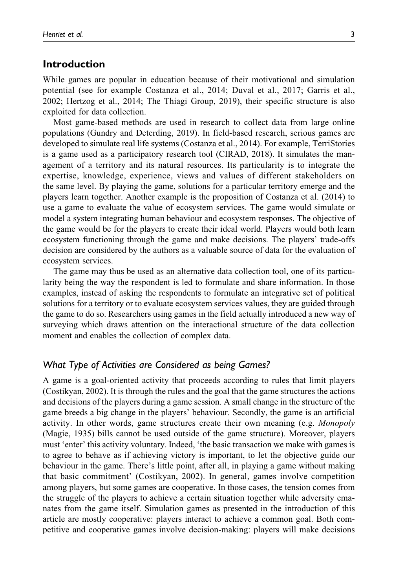## **Introduction**

While games are popular in education because of their motivational and simulation potential (see for example Costanza et al., 2014; Duval et al., 2017; Garris et al., 2002; Hertzog et al., 2014; The Thiagi Group, 2019), their specific structure is also exploited for data collection.

Most game-based methods are used in research to collect data from large online populations (Gundry and Deterding, 2019). In field-based research, serious games are developed to simulate real life systems (Costanza et al., 2014). For example, TerriStories is a game used as a participatory research tool (CIRAD, 2018). It simulates the management of a territory and its natural resources. Its particularity is to integrate the expertise, knowledge, experience, views and values of different stakeholders on the same level. By playing the game, solutions for a particular territory emerge and the players learn together. Another example is the proposition of Costanza et al. (2014) to use a game to evaluate the value of ecosystem services. The game would simulate or model a system integrating human behaviour and ecosystem responses. The objective of the game would be for the players to create their ideal world. Players would both learn ecosystem functioning through the game and make decisions. The players' trade-offs decision are considered by the authors as a valuable source of data for the evaluation of ecosystem services.

The game may thus be used as an alternative data collection tool, one of its particularity being the way the respondent is led to formulate and share information. In those examples, instead of asking the respondents to formulate an integrative set of political solutions for a territory or to evaluate ecosystem services values, they are guided through the game to do so. Researchers using games in the field actually introduced a new way of surveying which draws attention on the interactional structure of the data collection moment and enables the collection of complex data.

## *What Type of Activities are Considered as being Games?*

A game is a goal-oriented activity that proceeds according to rules that limit players (Costikyan, 2002). It is through the rules and the goal that the game structures the actions and decisions of the players during a game session. A small change in the structure of the game breeds a big change in the players' behaviour. Secondly, the game is an artificial activity. In other words, game structures create their own meaning (e.g. Monopoly (Magie, 1935) bills cannot be used outside of the game structure). Moreover, players must 'enter' this activity voluntary. Indeed, 'the basic transaction we make with games is to agree to behave as if achieving victory is important, to let the objective guide our behaviour in the game. There's little point, after all, in playing a game without making that basic commitment' (Costikyan, 2002). In general, games involve competition among players, but some games are cooperative. In those cases, the tension comes from the struggle of the players to achieve a certain situation together while adversity emanates from the game itself. Simulation games as presented in the introduction of this article are mostly cooperative: players interact to achieve a common goal. Both competitive and cooperative games involve decision-making: players will make decisions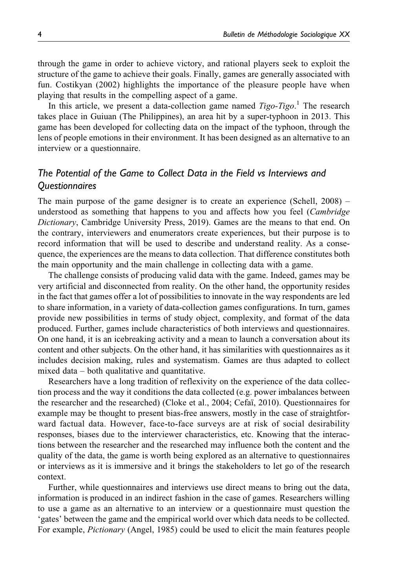through the game in order to achieve victory, and rational players seek to exploit the structure of the game to achieve their goals. Finally, games are generally associated with fun. Costikyan (2002) highlights the importance of the pleasure people have when playing that results in the compelling aspect of a game.

In this article, we present a data-collection game named  $Tigo-Tigo$ .<sup>1</sup> The research takes place in Guiuan (The Philippines), an area hit by a super-typhoon in 2013. This game has been developed for collecting data on the impact of the typhoon, through the lens of people emotions in their environment. It has been designed as an alternative to an interview or a questionnaire.

# *The Potential of the Game to Collect Data in the Field vs Interviews and Questionnaires*

The main purpose of the game designer is to create an experience (Schell, 2008) – understood as something that happens to you and affects how you feel (*Cambridge* Dictionary, Cambridge University Press, 2019). Games are the means to that end. On the contrary, interviewers and enumerators create experiences, but their purpose is to record information that will be used to describe and understand reality. As a consequence, the experiences are the means to data collection. That difference constitutes both the main opportunity and the main challenge in collecting data with a game.

The challenge consists of producing valid data with the game. Indeed, games may be very artificial and disconnected from reality. On the other hand, the opportunity resides in the fact that games offer a lot of possibilities to innovate in the way respondents are led to share information, in a variety of data-collection games configurations. In turn, games provide new possibilities in terms of study object, complexity, and format of the data produced. Further, games include characteristics of both interviews and questionnaires. On one hand, it is an icebreaking activity and a mean to launch a conversation about its content and other subjects. On the other hand, it has similarities with questionnaires as it includes decision making, rules and systematism. Games are thus adapted to collect mixed data – both qualitative and quantitative.

Researchers have a long tradition of reflexivity on the experience of the data collection process and the way it conditions the data collected (e.g. power imbalances between the researcher and the researched) (Cloke et al., 2004; Cefai, 2010). Questionnaires for example may be thought to present bias-free answers, mostly in the case of straightforward factual data. However, face-to-face surveys are at risk of social desirability responses, biases due to the interviewer characteristics, etc. Knowing that the interactions between the researcher and the researched may influence both the content and the quality of the data, the game is worth being explored as an alternative to questionnaires or interviews as it is immersive and it brings the stakeholders to let go of the research context.

Further, while questionnaires and interviews use direct means to bring out the data, information is produced in an indirect fashion in the case of games. Researchers willing to use a game as an alternative to an interview or a questionnaire must question the 'gates' between the game and the empirical world over which data needs to be collected. For example, *Pictionary* (Angel, 1985) could be used to elicit the main features people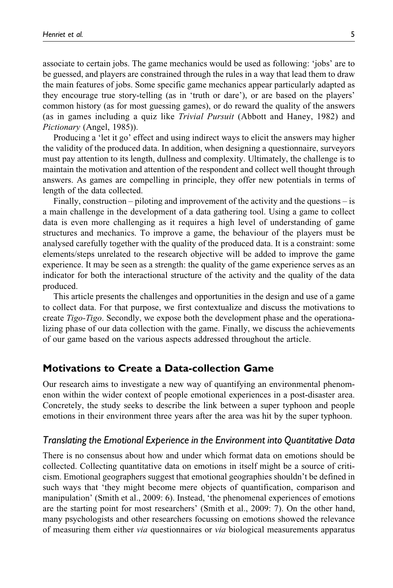associate to certain jobs. The game mechanics would be used as following: 'jobs' are to be guessed, and players are constrained through the rules in a way that lead them to draw the main features of jobs. Some specific game mechanics appear particularly adapted as they encourage true story-telling (as in 'truth or dare'), or are based on the players' common history (as for most guessing games), or do reward the quality of the answers (as in games including a quiz like Trivial Pursuit (Abbott and Haney, 1982) and Pictionary (Angel, 1985)).

Producing a 'let it go' effect and using indirect ways to elicit the answers may higher the validity of the produced data. In addition, when designing a questionnaire, surveyors must pay attention to its length, dullness and complexity. Ultimately, the challenge is to maintain the motivation and attention of the respondent and collect well thought through answers. As games are compelling in principle, they offer new potentials in terms of length of the data collected.

Finally, construction – piloting and improvement of the activity and the questions – is a main challenge in the development of a data gathering tool. Using a game to collect data is even more challenging as it requires a high level of understanding of game structures and mechanics. To improve a game, the behaviour of the players must be analysed carefully together with the quality of the produced data. It is a constraint: some elements/steps unrelated to the research objective will be added to improve the game experience. It may be seen as a strength: the quality of the game experience serves as an indicator for both the interactional structure of the activity and the quality of the data produced.

This article presents the challenges and opportunities in the design and use of a game to collect data. For that purpose, we first contextualize and discuss the motivations to create Tigo-Tigo. Secondly, we expose both the development phase and the operationalizing phase of our data collection with the game. Finally, we discuss the achievements of our game based on the various aspects addressed throughout the article.

## **Motivations to Create a Data-collection Game**

Our research aims to investigate a new way of quantifying an environmental phenomenon within the wider context of people emotional experiences in a post-disaster area. Concretely, the study seeks to describe the link between a super typhoon and people emotions in their environment three years after the area was hit by the super typhoon.

### *Translating the Emotional Experience in the Environment into Quantitative Data*

There is no consensus about how and under which format data on emotions should be collected. Collecting quantitative data on emotions in itself might be a source of criticism. Emotional geographers suggest that emotional geographies shouldn't be defined in such ways that 'they might become mere objects of quantification, comparison and manipulation' (Smith et al., 2009: 6). Instead, 'the phenomenal experiences of emotions are the starting point for most researchers' (Smith et al., 2009: 7). On the other hand, many psychologists and other researchers focussing on emotions showed the relevance of measuring them either via questionnaires or via biological measurements apparatus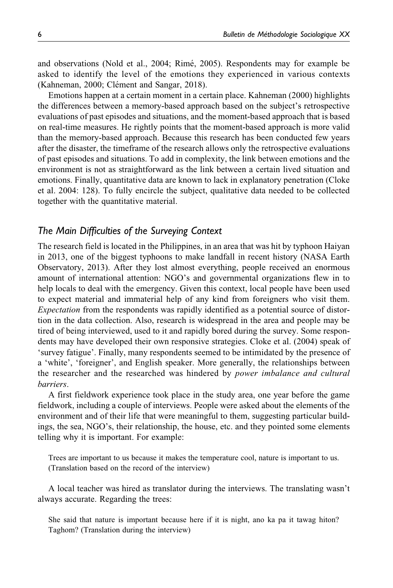and observations (Nold et al., 2004; Rimé, 2005). Respondents may for example be asked to identify the level of the emotions they experienced in various contexts (Kahneman, 2000; Clément and Sangar, 2018).

Emotions happen at a certain moment in a certain place. Kahneman (2000) highlights the differences between a memory-based approach based on the subject's retrospective evaluations of past episodes and situations, and the moment-based approach that is based on real-time measures. He rightly points that the moment-based approach is more valid than the memory-based approach. Because this research has been conducted few years after the disaster, the timeframe of the research allows only the retrospective evaluations of past episodes and situations. To add in complexity, the link between emotions and the environment is not as straightforward as the link between a certain lived situation and emotions. Finally, quantitative data are known to lack in explanatory penetration (Cloke et al. 2004: 128). To fully encircle the subject, qualitative data needed to be collected together with the quantitative material.

## *The Main Difficulties of the Surveying Context*

The research field is located in the Philippines, in an area that was hit by typhoon Haiyan in 2013, one of the biggest typhoons to make landfall in recent history (NASA Earth Observatory, 2013). After they lost almost everything, people received an enormous amount of international attention: NGO's and governmental organizations flew in to help locals to deal with the emergency. Given this context, local people have been used to expect material and immaterial help of any kind from foreigners who visit them. Expectation from the respondents was rapidly identified as a potential source of distortion in the data collection. Also, research is widespread in the area and people may be tired of being interviewed, used to it and rapidly bored during the survey. Some respondents may have developed their own responsive strategies. Cloke et al. (2004) speak of 'survey fatigue'. Finally, many respondents seemed to be intimidated by the presence of a 'white', 'foreigner', and English speaker. More generally, the relationships between the researcher and the researched was hindered by power imbalance and cultural barriers.

A first fieldwork experience took place in the study area, one year before the game fieldwork, including a couple of interviews. People were asked about the elements of the environment and of their life that were meaningful to them, suggesting particular buildings, the sea, NGO's, their relationship, the house, etc. and they pointed some elements telling why it is important. For example:

Trees are important to us because it makes the temperature cool, nature is important to us. (Translation based on the record of the interview)

A local teacher was hired as translator during the interviews. The translating wasn't always accurate. Regarding the trees:

She said that nature is important because here if it is night, ano ka pa it tawag hiton? Taghom? (Translation during the interview)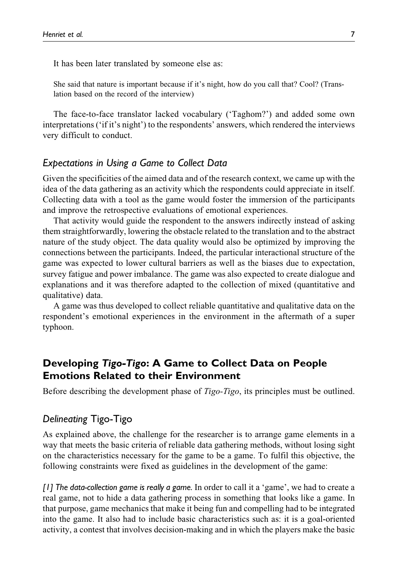It has been later translated by someone else as:

She said that nature is important because if it's night, how do you call that? Cool? (Translation based on the record of the interview)

The face-to-face translator lacked vocabulary ('Taghom?') and added some own interpretations ('if it's night') to the respondents' answers, which rendered the interviews very difficult to conduct.

## *Expectations in Using a Game to Collect Data*

Given the specificities of the aimed data and of the research context, we came up with the idea of the data gathering as an activity which the respondents could appreciate in itself. Collecting data with a tool as the game would foster the immersion of the participants and improve the retrospective evaluations of emotional experiences.

That activity would guide the respondent to the answers indirectly instead of asking them straightforwardly, lowering the obstacle related to the translation and to the abstract nature of the study object. The data quality would also be optimized by improving the connections between the participants. Indeed, the particular interactional structure of the game was expected to lower cultural barriers as well as the biases due to expectation, survey fatigue and power imbalance. The game was also expected to create dialogue and explanations and it was therefore adapted to the collection of mixed (quantitative and qualitative) data.

A game was thus developed to collect reliable quantitative and qualitative data on the respondent's emotional experiences in the environment in the aftermath of a super typhoon.

# **Developing** Tigo-Tigo**: A Game to Collect Data on People Emotions Related to their Environment**

Before describing the development phase of Tigo-Tigo, its principles must be outlined.

## *Delineating* Tigo-Tigo

As explained above, the challenge for the researcher is to arrange game elements in a way that meets the basic criteria of reliable data gathering methods, without losing sight on the characteristics necessary for the game to be a game. To fulfil this objective, the following constraints were fixed as guidelines in the development of the game:

*[1] The data-collection game is really a game.* In order to call it a 'game', we had to create a real game, not to hide a data gathering process in something that looks like a game. In that purpose, game mechanics that make it being fun and compelling had to be integrated into the game. It also had to include basic characteristics such as: it is a goal-oriented activity, a contest that involves decision-making and in which the players make the basic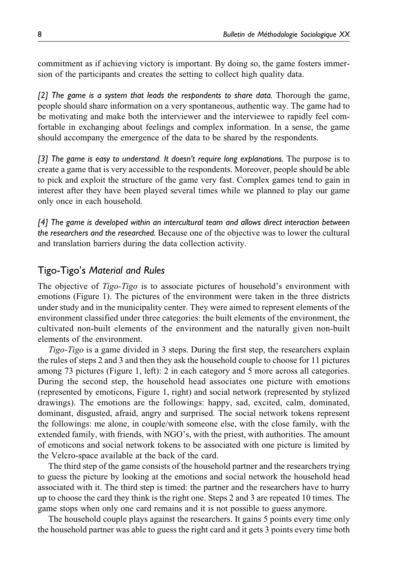commitment as if achieving victory is important. By doing so, the game fosters immersion of the participants and creates the setting to collect high quality data.

*[2] The game is a system that leads the respondents to share data.* Thorough the game, people should share information on a very spontaneous, authentic way. The game had to be motivating and make both the interviewer and the interviewee to rapidly feel comfortable in exchanging about feelings and complex information. In a sense, the game should accompany the emergence of the data to be shared by the respondents.

*[3] The game is easy to understand. It doesn't require long explanations.* The purpose is to create a game that is very accessible to the respondents. Moreover, people should be able to pick and exploit the structure of the game very fast. Complex games tend to gain in interest after they have been played several times while we planned to play our game only once in each household.

*[4] The game is developed within an intercultural team and allows direct interaction between the researchers and the researched.* Because one of the objective was to lower the cultural and translation barriers during the data collection activity.

## Tigo-Tigo's *Material and Rules*

The objective of *Tigo-Tigo* is to associate pictures of household's environment with emotions (Figure 1). The pictures of the environment were taken in the three districts under study and in the municipality center. They were aimed to represent elements of the environment classified under three categories: the built elements of the environment, the cultivated non-built elements of the environment and the naturally given non-built elements of the environment.

Tigo-Tigo is a game divided in 3 steps. During the first step, the researchers explain the rules of steps 2 and 3 and then they ask the household couple to choose for 11 pictures among 73 pictures (Figure 1, left): 2 in each category and 5 more across all categories. During the second step, the household head associates one picture with emotions (represented by emoticons, Figure 1, right) and social network (represented by stylized drawings). The emotions are the followings: happy, sad, excited, calm, dominated, dominant, disgusted, afraid, angry and surprised. The social network tokens represent the followings: me alone, in couple/with someone else, with the close family, with the extended family, with friends, with NGO's, with the priest, with authorities. The amount of emoticons and social network tokens to be associated with one picture is limited by the Velcro-space available at the back of the card.

The third step of the game consists of the household partner and the researchers trying to guess the picture by looking at the emotions and social network the household head associated with it. The third step is timed: the partner and the researchers have to hurry up to choose the card they think is the right one. Steps 2 and 3 are repeated 10 times. The game stops when only one card remains and it is not possible to guess anymore.

The household couple plays against the researchers. It gains 5 points every time only the household partner was able to guess the right card and it gets 3 points every time both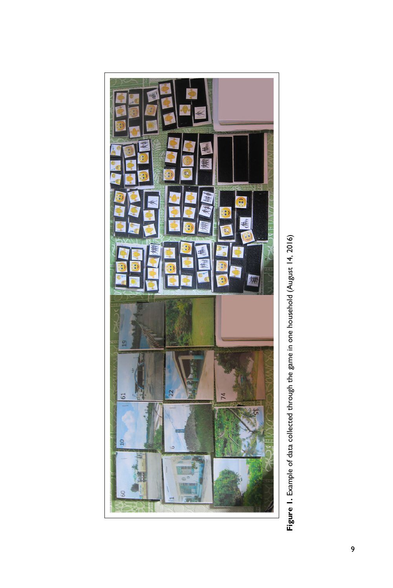

Figure 1. Example of data collected through the game in one household (August 14, 2016) **Figure 1.** Example of data collected through the game in one household (August 14, 2016)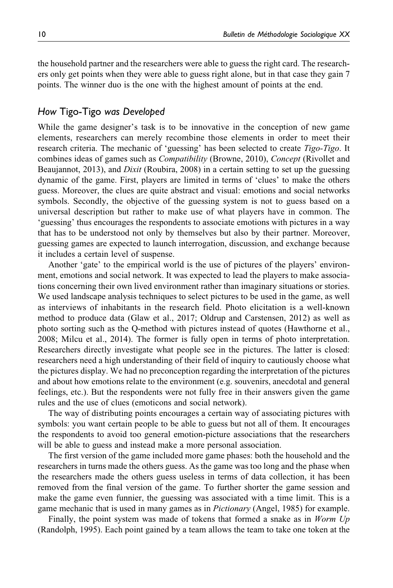the household partner and the researchers were able to guess the right card. The researchers only get points when they were able to guess right alone, but in that case they gain 7 points. The winner duo is the one with the highest amount of points at the end.

## *How* Tigo-Tigo *was Developed*

While the game designer's task is to be innovative in the conception of new game elements, researchers can merely recombine those elements in order to meet their research criteria. The mechanic of 'guessing' has been selected to create *Tigo-Tigo*. It combines ideas of games such as Compatibility (Browne, 2010), Concept (Rivollet and Beaujannot, 2013), and *Dixit* (Roubira, 2008) in a certain setting to set up the guessing dynamic of the game. First, players are limited in terms of 'clues' to make the others guess. Moreover, the clues are quite abstract and visual: emotions and social networks symbols. Secondly, the objective of the guessing system is not to guess based on a universal description but rather to make use of what players have in common. The 'guessing' thus encourages the respondents to associate emotions with pictures in a way that has to be understood not only by themselves but also by their partner. Moreover, guessing games are expected to launch interrogation, discussion, and exchange because it includes a certain level of suspense.

Another 'gate' to the empirical world is the use of pictures of the players' environment, emotions and social network. It was expected to lead the players to make associations concerning their own lived environment rather than imaginary situations or stories. We used landscape analysis techniques to select pictures to be used in the game, as well as interviews of inhabitants in the research field. Photo elicitation is a well-known method to produce data (Glaw et al., 2017; Oldrup and Carstensen, 2012) as well as photo sorting such as the Q-method with pictures instead of quotes (Hawthorne et al., 2008; Milcu et al., 2014). The former is fully open in terms of photo interpretation. Researchers directly investigate what people see in the pictures. The latter is closed: researchers need a high understanding of their field of inquiry to cautiously choose what the pictures display. We had no preconception regarding the interpretation of the pictures and about how emotions relate to the environment (e.g. souvenirs, anecdotal and general feelings, etc.). But the respondents were not fully free in their answers given the game rules and the use of clues (emoticons and social network).

The way of distributing points encourages a certain way of associating pictures with symbols: you want certain people to be able to guess but not all of them. It encourages the respondents to avoid too general emotion-picture associations that the researchers will be able to guess and instead make a more personal association.

The first version of the game included more game phases: both the household and the researchers in turns made the others guess. As the game was too long and the phase when the researchers made the others guess useless in terms of data collection, it has been removed from the final version of the game. To further shorter the game session and make the game even funnier, the guessing was associated with a time limit. This is a game mechanic that is used in many games as in *Pictionary* (Angel, 1985) for example.

Finally, the point system was made of tokens that formed a snake as in *Worm Up* (Randolph, 1995). Each point gained by a team allows the team to take one token at the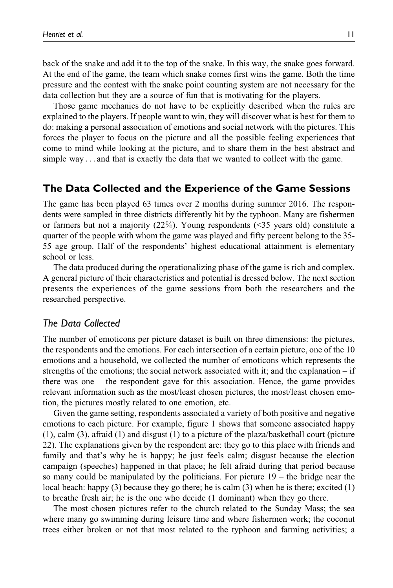back of the snake and add it to the top of the snake. In this way, the snake goes forward. At the end of the game, the team which snake comes first wins the game. Both the time pressure and the contest with the snake point counting system are not necessary for the data collection but they are a source of fun that is motivating for the players.

Those game mechanics do not have to be explicitly described when the rules are explained to the players. If people want to win, they will discover what is best for them to do: making a personal association of emotions and social network with the pictures. This forces the player to focus on the picture and all the possible feeling experiences that come to mind while looking at the picture, and to share them in the best abstract and simple way ... and that is exactly the data that we wanted to collect with the game.

## **The Data Collected and the Experience of the Game Sessions**

The game has been played 63 times over 2 months during summer 2016. The respondents were sampled in three districts differently hit by the typhoon. Many are fishermen or farmers but not a majority (22%). Young respondents (<35 years old) constitute a quarter of the people with whom the game was played and fifty percent belong to the 35- 55 age group. Half of the respondents' highest educational attainment is elementary school or less.

The data produced during the operationalizing phase of the game is rich and complex. A general picture of their characteristics and potential is dressed below. The next section presents the experiences of the game sessions from both the researchers and the researched perspective.

### *The Data Collected*

The number of emoticons per picture dataset is built on three dimensions: the pictures, the respondents and the emotions. For each intersection of a certain picture, one of the 10 emotions and a household, we collected the number of emoticons which represents the strengths of the emotions; the social network associated with it; and the explanation  $-$  if there was one – the respondent gave for this association. Hence, the game provides relevant information such as the most/least chosen pictures, the most/least chosen emotion, the pictures mostly related to one emotion, etc.

Given the game setting, respondents associated a variety of both positive and negative emotions to each picture. For example, figure 1 shows that someone associated happy (1), calm (3), afraid (1) and disgust (1) to a picture of the plaza/basketball court (picture 22). The explanations given by the respondent are: they go to this place with friends and family and that's why he is happy; he just feels calm; disgust because the election campaign (speeches) happened in that place; he felt afraid during that period because so many could be manipulated by the politicians. For picture 19 – the bridge near the local beach: happy (3) because they go there; he is calm (3) when he is there; excited (1) to breathe fresh air; he is the one who decide (1 dominant) when they go there.

The most chosen pictures refer to the church related to the Sunday Mass; the sea where many go swimming during leisure time and where fishermen work; the coconut trees either broken or not that most related to the typhoon and farming activities; a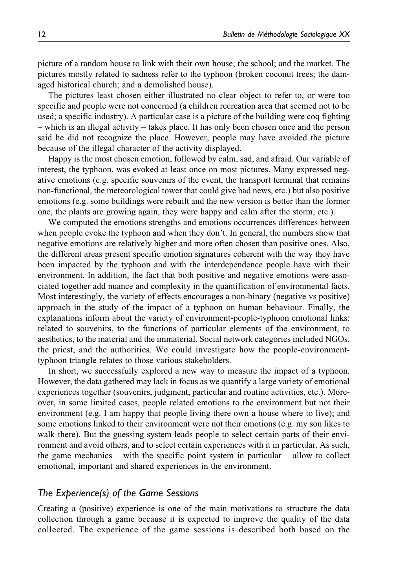picture of a random house to link with their own house; the school; and the market. The pictures mostly related to sadness refer to the typhoon (broken coconut trees; the damaged historical church; and a demolished house).

The pictures least chosen either illustrated no clear object to refer to, or were too specific and people were not concerned (a children recreation area that seemed not to be used; a specific industry). A particular case is a picture of the building were coq fighting – which is an illegal activity – takes place. It has only been chosen once and the person said he did not recognize the place. However, people may have avoided the picture because of the illegal character of the activity displayed.

Happy is the most chosen emotion, followed by calm, sad, and afraid. Our variable of interest, the typhoon, was evoked at least once on most pictures. Many expressed negative emotions (e.g. specific souvenirs of the event, the transport terminal that remains non-functional, the meteorological tower that could give bad news, etc.) but also positive emotions (e.g. some buildings were rebuilt and the new version is better than the former one, the plants are growing again, they were happy and calm after the storm, etc.).

We computed the emotions strengths and emotions occurrences differences between when people evoke the typhoon and when they don't. In general, the numbers show that negative emotions are relatively higher and more often chosen than positive ones. Also, the different areas present specific emotion signatures coherent with the way they have been impacted by the typhoon and with the interdependence people have with their environment. In addition, the fact that both positive and negative emotions were associated together add nuance and complexity in the quantification of environmental facts. Most interestingly, the variety of effects encourages a non-binary (negative vs positive) approach in the study of the impact of a typhoon on human behaviour. Finally, the explanations inform about the variety of environment-people-typhoon emotional links: related to souvenirs, to the functions of particular elements of the environment, to aesthetics, to the material and the immaterial. Social network categories included NGOs, the priest, and the authorities. We could investigate how the people-environmenttyphoon triangle relates to those various stakeholders.

In short, we successfully explored a new way to measure the impact of a typhoon. However, the data gathered may lack in focus as we quantify a large variety of emotional experiences together (souvenirs, judgment, particular and routine activities, etc.). Moreover, in some limited cases, people related emotions to the environment but not their environment (e.g. I am happy that people living there own a house where to live); and some emotions linked to their environment were not their emotions (e.g. my son likes to walk there). But the guessing system leads people to select certain parts of their environment and avoid others, and to select certain experiences with it in particular. As such, the game mechanics – with the specific point system in particular – allow to collect emotional, important and shared experiences in the environment.

## *The Experience(s) of the Game Sessions*

Creating a (positive) experience is one of the main motivations to structure the data collection through a game because it is expected to improve the quality of the data collected. The experience of the game sessions is described both based on the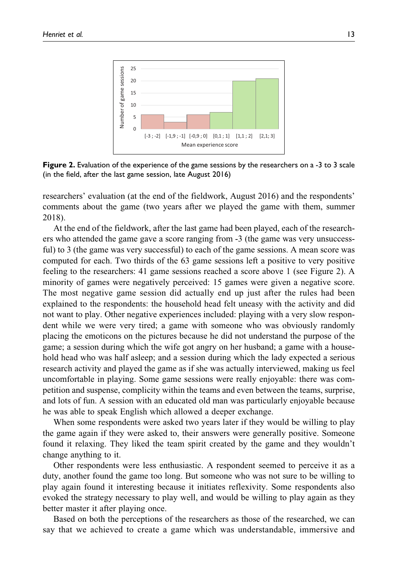

**Figure 2.** Evaluation of the experience of the game sessions by the researchers on a -3 to 3 scale (in the field, after the last game session, late August 2016)

researchers' evaluation (at the end of the fieldwork, August 2016) and the respondents' comments about the game (two years after we played the game with them, summer 2018).

At the end of the fieldwork, after the last game had been played, each of the researchers who attended the game gave a score ranging from -3 (the game was very unsuccessful) to 3 (the game was very successful) to each of the game sessions. A mean score was computed for each. Two thirds of the 63 game sessions left a positive to very positive feeling to the researchers: 41 game sessions reached a score above 1 (see Figure 2). A minority of games were negatively perceived: 15 games were given a negative score. The most negative game session did actually end up just after the rules had been explained to the respondents: the household head felt uneasy with the activity and did not want to play. Other negative experiences included: playing with a very slow respondent while we were very tired; a game with someone who was obviously randomly placing the emoticons on the pictures because he did not understand the purpose of the game; a session during which the wife got angry on her husband; a game with a household head who was half asleep; and a session during which the lady expected a serious research activity and played the game as if she was actually interviewed, making us feel uncomfortable in playing. Some game sessions were really enjoyable: there was competition and suspense, complicity within the teams and even between the teams, surprise, and lots of fun. A session with an educated old man was particularly enjoyable because he was able to speak English which allowed a deeper exchange.

When some respondents were asked two years later if they would be willing to play the game again if they were asked to, their answers were generally positive. Someone found it relaxing. They liked the team spirit created by the game and they wouldn't change anything to it.

Other respondents were less enthusiastic. A respondent seemed to perceive it as a duty, another found the game too long. But someone who was not sure to be willing to play again found it interesting because it initiates reflexivity. Some respondents also evoked the strategy necessary to play well, and would be willing to play again as they better master it after playing once.

Based on both the perceptions of the researchers as those of the researched, we can say that we achieved to create a game which was understandable, immersive and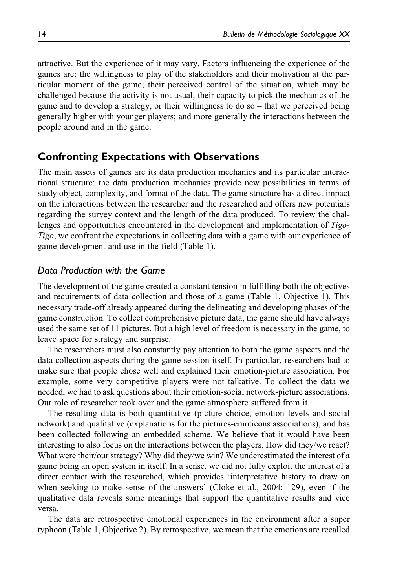attractive. But the experience of it may vary. Factors influencing the experience of the games are: the willingness to play of the stakeholders and their motivation at the particular moment of the game; their perceived control of the situation, which may be challenged because the activity is not usual; their capacity to pick the mechanics of the game and to develop a strategy, or their willingness to do so – that we perceived being generally higher with younger players; and more generally the interactions between the people around and in the game.

## **Confronting Expectations with Observations**

The main assets of games are its data production mechanics and its particular interactional structure: the data production mechanics provide new possibilities in terms of study object, complexity, and format of the data. The game structure has a direct impact on the interactions between the researcher and the researched and offers new potentials regarding the survey context and the length of the data produced. To review the challenges and opportunities encountered in the development and implementation of Tigo-Tigo, we confront the expectations in collecting data with a game with our experience of game development and use in the field (Table 1).

## *Data Production with the Game*

The development of the game created a constant tension in fulfilling both the objectives and requirements of data collection and those of a game (Table 1, Objective 1). This necessary trade-off already appeared during the delineating and developing phases of the game construction. To collect comprehensive picture data, the game should have always used the same set of 11 pictures. But a high level of freedom is necessary in the game, to leave space for strategy and surprise.

The researchers must also constantly pay attention to both the game aspects and the data collection aspects during the game session itself. In particular, researchers had to make sure that people chose well and explained their emotion-picture association. For example, some very competitive players were not talkative. To collect the data we needed, we had to ask questions about their emotion-social network-picture associations. Our role of researcher took over and the game atmosphere suffered from it.

The resulting data is both quantitative (picture choice, emotion levels and social network) and qualitative (explanations for the pictures-emoticons associations), and has been collected following an embedded scheme. We believe that it would have been interesting to also focus on the interactions between the players. How did they/we react? What were their/our strategy? Why did they/we win? We underestimated the interest of a game being an open system in itself. In a sense, we did not fully exploit the interest of a direct contact with the researched, which provides 'interpretative history to draw on when seeking to make sense of the answers' (Cloke et al., 2004: 129), even if the qualitative data reveals some meanings that support the quantitative results and vice versa.

The data are retrospective emotional experiences in the environment after a super typhoon (Table 1, Objective 2). By retrospective, we mean that the emotions are recalled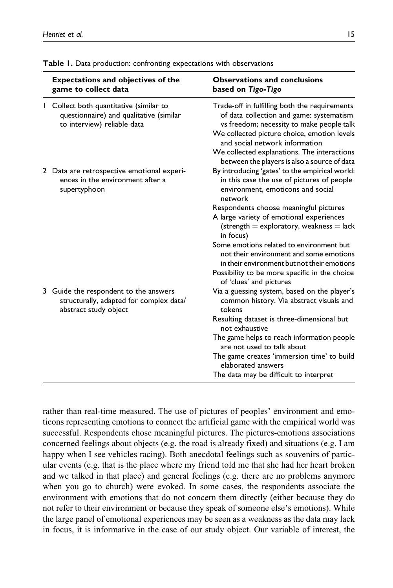|  | <b>Expectations and objectives of the</b><br>game to collect data                                                 | <b>Observations and conclusions</b><br>based on Tigo-Tigo                                                                                                                                                                                                                                                              |
|--|-------------------------------------------------------------------------------------------------------------------|------------------------------------------------------------------------------------------------------------------------------------------------------------------------------------------------------------------------------------------------------------------------------------------------------------------------|
|  | I Collect both quantitative (similar to<br>questionnaire) and qualitative (similar<br>to interview) reliable data | Trade-off in fulfilling both the requirements<br>of data collection and game: systematism<br>vs freedom; necessity to make people talk<br>We collected picture choice, emotion levels<br>and social network information<br>We collected explanations. The interactions<br>between the players is also a source of data |
|  | 2 Data are retrospective emotional experi-<br>ences in the environment after a<br>supertyphoon                    | By introducing 'gates' to the empirical world:<br>in this case the use of pictures of people<br>environment, emoticons and social<br>network                                                                                                                                                                           |
|  |                                                                                                                   | Respondents choose meaningful pictures<br>A large variety of emotional experiences<br>$(\text{strength} = \text{exploratory}, \text{weakness} = \text{lack}$<br>in focus)                                                                                                                                              |
|  |                                                                                                                   | Some emotions related to environment but<br>not their environment and some emotions<br>in their environment but not their emotions                                                                                                                                                                                     |
|  |                                                                                                                   | Possibility to be more specific in the choice<br>of 'clues' and pictures                                                                                                                                                                                                                                               |
|  | 3 Guide the respondent to the answers<br>structurally, adapted for complex data/<br>abstract study object         | Via a guessing system, based on the player's<br>common history. Via abstract visuals and<br>tokens                                                                                                                                                                                                                     |
|  |                                                                                                                   | Resulting dataset is three-dimensional but<br>not exhaustive                                                                                                                                                                                                                                                           |
|  |                                                                                                                   | The game helps to reach information people<br>are not used to talk about                                                                                                                                                                                                                                               |
|  |                                                                                                                   | The game creates 'immersion time' to build<br>elaborated answers                                                                                                                                                                                                                                                       |
|  |                                                                                                                   | The data may be difficult to interpret                                                                                                                                                                                                                                                                                 |

**Table 1.** Data production: confronting expectations with observations

rather than real-time measured. The use of pictures of peoples' environment and emoticons representing emotions to connect the artificial game with the empirical world was successful. Respondents chose meaningful pictures. The pictures-emotions associations concerned feelings about objects (e.g. the road is already fixed) and situations (e.g. I am happy when I see vehicles racing). Both anecdotal feelings such as souvenirs of particular events (e.g. that is the place where my friend told me that she had her heart broken and we talked in that place) and general feelings (e.g. there are no problems anymore when you go to church) were evoked. In some cases, the respondents associate the environment with emotions that do not concern them directly (either because they do not refer to their environment or because they speak of someone else's emotions). While the large panel of emotional experiences may be seen as a weakness as the data may lack in focus, it is informative in the case of our study object. Our variable of interest, the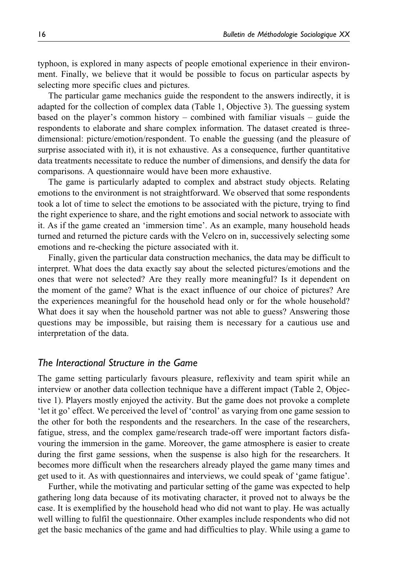typhoon, is explored in many aspects of people emotional experience in their environment. Finally, we believe that it would be possible to focus on particular aspects by selecting more specific clues and pictures.

The particular game mechanics guide the respondent to the answers indirectly, it is adapted for the collection of complex data (Table 1, Objective 3). The guessing system based on the player's common history – combined with familiar visuals – guide the respondents to elaborate and share complex information. The dataset created is threedimensional: picture/emotion/respondent. To enable the guessing (and the pleasure of surprise associated with it), it is not exhaustive. As a consequence, further quantitative data treatments necessitate to reduce the number of dimensions, and densify the data for comparisons. A questionnaire would have been more exhaustive.

The game is particularly adapted to complex and abstract study objects. Relating emotions to the environment is not straightforward. We observed that some respondents took a lot of time to select the emotions to be associated with the picture, trying to find the right experience to share, and the right emotions and social network to associate with it. As if the game created an 'immersion time'. As an example, many household heads turned and returned the picture cards with the Velcro on in, successively selecting some emotions and re-checking the picture associated with it.

Finally, given the particular data construction mechanics, the data may be difficult to interpret. What does the data exactly say about the selected pictures/emotions and the ones that were not selected? Are they really more meaningful? Is it dependent on the moment of the game? What is the exact influence of our choice of pictures? Are the experiences meaningful for the household head only or for the whole household? What does it say when the household partner was not able to guess? Answering those questions may be impossible, but raising them is necessary for a cautious use and interpretation of the data.

### *The Interactional Structure in the Game*

The game setting particularly favours pleasure, reflexivity and team spirit while an interview or another data collection technique have a different impact (Table 2, Objective 1). Players mostly enjoyed the activity. But the game does not provoke a complete 'let it go' effect. We perceived the level of 'control' as varying from one game session to the other for both the respondents and the researchers. In the case of the researchers, fatigue, stress, and the complex game/research trade-off were important factors disfavouring the immersion in the game. Moreover, the game atmosphere is easier to create during the first game sessions, when the suspense is also high for the researchers. It becomes more difficult when the researchers already played the game many times and get used to it. As with questionnaires and interviews, we could speak of 'game fatigue'.

Further, while the motivating and particular setting of the game was expected to help gathering long data because of its motivating character, it proved not to always be the case. It is exemplified by the household head who did not want to play. He was actually well willing to fulfil the questionnaire. Other examples include respondents who did not get the basic mechanics of the game and had difficulties to play. While using a game to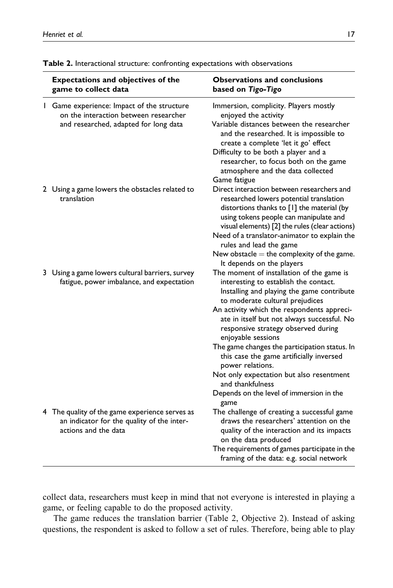| Expectations and objectives of the<br>game to collect data                                                                 | <b>Observations and conclusions</b><br>based on Tigo-Tigo                                                                                                                                                                                                                                                                                                                                                                                                                                                                                                                                                                               |
|----------------------------------------------------------------------------------------------------------------------------|-----------------------------------------------------------------------------------------------------------------------------------------------------------------------------------------------------------------------------------------------------------------------------------------------------------------------------------------------------------------------------------------------------------------------------------------------------------------------------------------------------------------------------------------------------------------------------------------------------------------------------------------|
| Game experience: Impact of the structure<br>on the interaction between researcher<br>and researched, adapted for long data | Immersion, complicity. Players mostly<br>enjoyed the activity<br>Variable distances between the researcher<br>and the researched. It is impossible to<br>create a complete 'let it go' effect<br>Difficulty to be both a player and a<br>researcher, to focus both on the game<br>atmosphere and the data collected<br>Game fatigue                                                                                                                                                                                                                                                                                                     |
| 2 Using a game lowers the obstacles related to<br>translation                                                              | Direct interaction between researchers and<br>researched lowers potential translation<br>distortions thanks to [1] the material (by<br>using tokens people can manipulate and<br>visual elements) [2] the rules (clear actions)<br>Need of a translator-animator to explain the<br>rules and lead the game                                                                                                                                                                                                                                                                                                                              |
| 3 Using a game lowers cultural barriers, survey<br>fatigue, power imbalance, and expectation                               | New obstacle $=$ the complexity of the game.<br>It depends on the players<br>The moment of installation of the game is<br>interesting to establish the contact.<br>Installing and playing the game contribute<br>to moderate cultural prejudices<br>An activity which the respondents appreci-<br>ate in itself but not always successful. No<br>responsive strategy observed during<br>enjoyable sessions<br>The game changes the participation status. In<br>this case the game artificially inversed<br>power relations.<br>Not only expectation but also resentment<br>and thankfulness<br>Depends on the level of immersion in the |
| 4 The quality of the game experience serves as<br>an indicator for the quality of the inter-<br>actions and the data       | game<br>The challenge of creating a successful game<br>draws the researchers' attention on the<br>quality of the interaction and its impacts<br>on the data produced<br>The requirements of games participate in the<br>framing of the data: e.g. social network                                                                                                                                                                                                                                                                                                                                                                        |

**Table 2.** Interactional structure: confronting expectations with observations

collect data, researchers must keep in mind that not everyone is interested in playing a game, or feeling capable to do the proposed activity.

The game reduces the translation barrier (Table 2, Objective 2). Instead of asking questions, the respondent is asked to follow a set of rules. Therefore, being able to play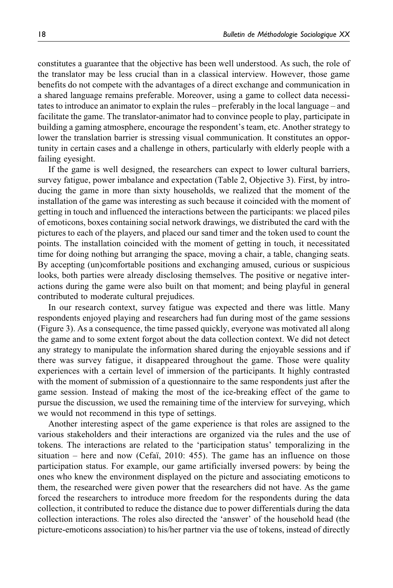constitutes a guarantee that the objective has been well understood. As such, the role of the translator may be less crucial than in a classical interview. However, those game benefits do not compete with the advantages of a direct exchange and communication in a shared language remains preferable. Moreover, using a game to collect data necessitates to introduce an animator to explain the rules – preferably in the local language – and facilitate the game. The translator-animator had to convince people to play, participate in building a gaming atmosphere, encourage the respondent's team, etc. Another strategy to lower the translation barrier is stressing visual communication. It constitutes an opportunity in certain cases and a challenge in others, particularly with elderly people with a failing eyesight.

If the game is well designed, the researchers can expect to lower cultural barriers, survey fatigue, power imbalance and expectation (Table 2, Objective 3). First, by introducing the game in more than sixty households, we realized that the moment of the installation of the game was interesting as such because it coincided with the moment of getting in touch and influenced the interactions between the participants: we placed piles of emoticons, boxes containing social network drawings, we distributed the card with the pictures to each of the players, and placed our sand timer and the token used to count the points. The installation coincided with the moment of getting in touch, it necessitated time for doing nothing but arranging the space, moving a chair, a table, changing seats. By accepting (un)comfortable positions and exchanging amused, curious or suspicious looks, both parties were already disclosing themselves. The positive or negative interactions during the game were also built on that moment; and being playful in general contributed to moderate cultural prejudices.

In our research context, survey fatigue was expected and there was little. Many respondents enjoyed playing and researchers had fun during most of the game sessions (Figure 3). As a consequence, the time passed quickly, everyone was motivated all along the game and to some extent forgot about the data collection context. We did not detect any strategy to manipulate the information shared during the enjoyable sessions and if there was survey fatigue, it disappeared throughout the game. Those were quality experiences with a certain level of immersion of the participants. It highly contrasted with the moment of submission of a questionnaire to the same respondents just after the game session. Instead of making the most of the ice-breaking effect of the game to pursue the discussion, we used the remaining time of the interview for surveying, which we would not recommend in this type of settings.

Another interesting aspect of the game experience is that roles are assigned to the various stakeholders and their interactions are organized via the rules and the use of tokens. The interactions are related to the 'participation status' temporalizing in the situation – here and now (Cefai, 2010: 455). The game has an influence on those participation status. For example, our game artificially inversed powers: by being the ones who knew the environment displayed on the picture and associating emoticons to them, the researched were given power that the researchers did not have. As the game forced the researchers to introduce more freedom for the respondents during the data collection, it contributed to reduce the distance due to power differentials during the data collection interactions. The roles also directed the 'answer' of the household head (the picture-emoticons association) to his/her partner via the use of tokens, instead of directly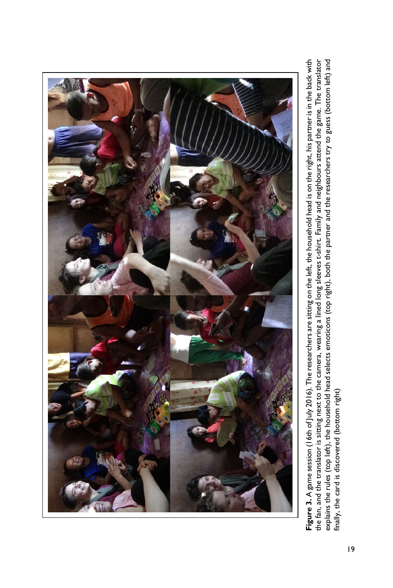

Figure 3. A game session (16th of July 2016). The researchers are sitting on the left, the household head is on the right, his partner is in the back with the fan, and the translator is sitting next to the camera, wearing a lined long sleeves t-shirt. Family and neighbours attend the game. The translator explains the rules (top left), the household head selects emoticons (top right), both the partner and the researchers try to guess (bottom left) and **Figure 3.** A game session (16th of July 2016). The researchers are sitting on the left, the household head is on the right, his partner is in the back with the fan, and the translator is sitting next to the camera, wearing a lined long sleeves t-shirt. Family and neighbours attend the game. The translator explains the rules (top left), the household head selects emoticons (top right), both the partner and the researchers try to guess (bottom left) and finally, the card is discovered (bottom right) finally, the card is discovered (bottom right)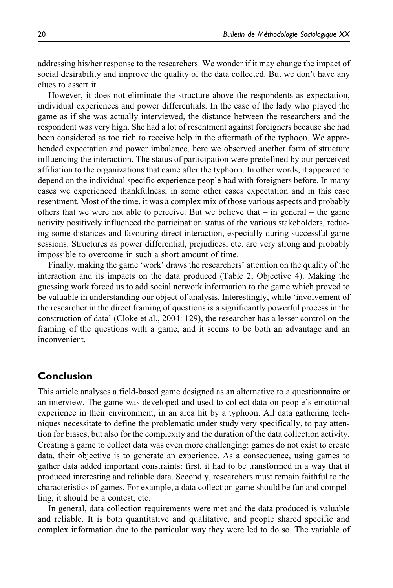addressing his/her response to the researchers. We wonder if it may change the impact of social desirability and improve the quality of the data collected. But we don't have any clues to assert it.

However, it does not eliminate the structure above the respondents as expectation, individual experiences and power differentials. In the case of the lady who played the game as if she was actually interviewed, the distance between the researchers and the respondent was very high. She had a lot of resentment against foreigners because she had been considered as too rich to receive help in the aftermath of the typhoon. We apprehended expectation and power imbalance, here we observed another form of structure influencing the interaction. The status of participation were predefined by our perceived affiliation to the organizations that came after the typhoon. In other words, it appeared to depend on the individual specific experience people had with foreigners before. In many cases we experienced thankfulness, in some other cases expectation and in this case resentment. Most of the time, it was a complex mix of those various aspects and probably others that we were not able to perceive. But we believe that  $-$  in general  $-$  the game activity positively influenced the participation status of the various stakeholders, reducing some distances and favouring direct interaction, especially during successful game sessions. Structures as power differential, prejudices, etc. are very strong and probably impossible to overcome in such a short amount of time.

Finally, making the game 'work' draws the researchers' attention on the quality of the interaction and its impacts on the data produced (Table 2, Objective 4). Making the guessing work forced us to add social network information to the game which proved to be valuable in understanding our object of analysis. Interestingly, while 'involvement of the researcher in the direct framing of questions is a significantly powerful process in the construction of data' (Cloke et al., 2004: 129), the researcher has a lesser control on the framing of the questions with a game, and it seems to be both an advantage and an inconvenient.

## **Conclusion**

This article analyses a field-based game designed as an alternative to a questionnaire or an interview. The game was developed and used to collect data on people's emotional experience in their environment, in an area hit by a typhoon. All data gathering techniques necessitate to define the problematic under study very specifically, to pay attention for biases, but also for the complexity and the duration of the data collection activity. Creating a game to collect data was even more challenging: games do not exist to create data, their objective is to generate an experience. As a consequence, using games to gather data added important constraints: first, it had to be transformed in a way that it produced interesting and reliable data. Secondly, researchers must remain faithful to the characteristics of games. For example, a data collection game should be fun and compelling, it should be a contest, etc.

In general, data collection requirements were met and the data produced is valuable and reliable. It is both quantitative and qualitative, and people shared specific and complex information due to the particular way they were led to do so. The variable of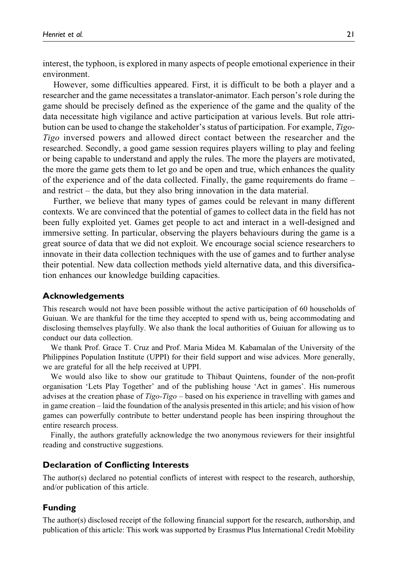interest, the typhoon, is explored in many aspects of people emotional experience in their environment.

However, some difficulties appeared. First, it is difficult to be both a player and a researcher and the game necessitates a translator-animator. Each person's role during the game should be precisely defined as the experience of the game and the quality of the data necessitate high vigilance and active participation at various levels. But role attribution can be used to change the stakeholder's status of participation. For example, Tigo-Tigo inversed powers and allowed direct contact between the researcher and the researched. Secondly, a good game session requires players willing to play and feeling or being capable to understand and apply the rules. The more the players are motivated, the more the game gets them to let go and be open and true, which enhances the quality of the experience and of the data collected. Finally, the game requirements do frame – and restrict – the data, but they also bring innovation in the data material.

Further, we believe that many types of games could be relevant in many different contexts. We are convinced that the potential of games to collect data in the field has not been fully exploited yet. Games get people to act and interact in a well-designed and immersive setting. In particular, observing the players behaviours during the game is a great source of data that we did not exploit. We encourage social science researchers to innovate in their data collection techniques with the use of games and to further analyse their potential. New data collection methods yield alternative data, and this diversification enhances our knowledge building capacities.

#### **Acknowledgements**

This research would not have been possible without the active participation of 60 households of Guiuan. We are thankful for the time they accepted to spend with us, being accommodating and disclosing themselves playfully. We also thank the local authorities of Guiuan for allowing us to conduct our data collection.

We thank Prof. Grace T. Cruz and Prof. Maria Midea M. Kabamalan of the University of the Philippines Population Institute (UPPI) for their field support and wise advices. More generally, we are grateful for all the help received at UPPI.

We would also like to show our gratitude to Thibaut Quintens, founder of the non-profit organisation 'Lets Play Together' and of the publishing house 'Act in games'. His numerous advises at the creation phase of Tigo-Tigo – based on his experience in travelling with games and in game creation – laid the foundation of the analysis presented in this article; and his vision of how games can powerfully contribute to better understand people has been inspiring throughout the entire research process.

Finally, the authors gratefully acknowledge the two anonymous reviewers for their insightful reading and constructive suggestions.

#### **Declaration of Conflicting Interests**

The author(s) declared no potential conflicts of interest with respect to the research, authorship, and/or publication of this article.

#### **Funding**

The author(s) disclosed receipt of the following financial support for the research, authorship, and publication of this article: This work was supported by Erasmus Plus International Credit Mobility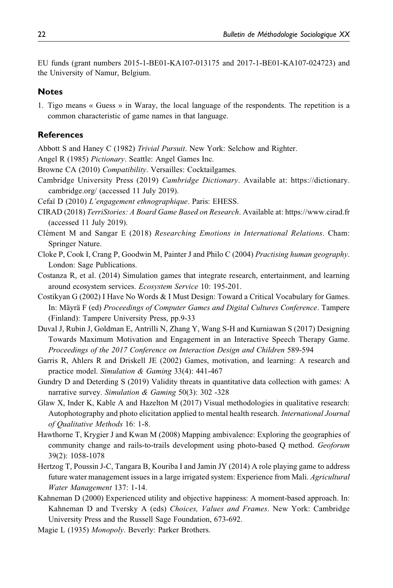EU funds (grant numbers 2015-1-BE01-KA107-013175 and 2017-1-BE01-KA107-024723) and the University of Namur, Belgium.

#### **Notes**

1. Tigo means « Guess » in Waray, the local language of the respondents. The repetition is a common characteristic of game names in that language.

#### **References**

Abbott S and Haney C (1982) Trivial Pursuit. New York: Selchow and Righter.

Angel R (1985) Pictionary. Seattle: Angel Games Inc.

- Browne CA (2010) Compatibility. Versailles: Cocktailgames.
- Cambridge University Press (2019) Cambridge Dictionary. Available at: [https://dictionary.](https://dictionary.cambridge.org/) [cambridge.org/](https://dictionary.cambridge.org/) (accessed 11 July 2019).
- Cefaï D (2010) L'engagement ethnographique. Paris: EHESS.
- CIRAD (2018) TerriStories: A Board Game Based on Research. Available at:<https://www.cirad.fr> (accessed 11 July 2019).
- Clément M and Sangar E (2018) Researching Emotions in International Relations. Cham: Springer Nature.
- Cloke P, Cook I, Crang P, Goodwin M, Painter J and Philo C (2004) Practising human geography. London: Sage Publications.
- Costanza R, et al. (2014) Simulation games that integrate research, entertainment, and learning around ecosystem services. Ecosystem Service 10: 195-201.
- Costikyan G (2002) I Have No Words & I Must Design: Toward a Critical Vocabulary for Games. In: Mäyrä F (ed) Proceedings of Computer Games and Digital Cultures Conference. Tampere (Finland): Tampere University Press, pp.9-33
- Duval J, Rubin J, Goldman E, Antrilli N, Zhang Y, Wang S-H and Kurniawan S (2017) Designing Towards Maximum Motivation and Engagement in an Interactive Speech Therapy Game. Proceedings of the 2017 Conference on Interaction Design and Children 589-594
- Garris R, Ahlers R and Driskell JE (2002) Games, motivation, and learning: A research and practice model. Simulation & Gaming 33(4): 441-467
- Gundry D and Deterding S (2019) Validity threats in quantitative data collection with games: A narrative survey. Simulation & Gaming 50(3): 302 -328
- Glaw X, Inder K, Kable A and Hazelton M (2017) Visual methodologies in qualitative research: Autophotography and photo elicitation applied to mental health research. International Journal of Qualitative Methods 16: 1-8.
- Hawthorne T, Krygier J and Kwan M (2008) Mapping ambivalence: Exploring the geographies of community change and rails-to-trails development using photo-based Q method. Geoforum 39(2): 1058-1078
- Hertzog T, Poussin J-C, Tangara B, Kouriba I and Jamin JY (2014) A role playing game to address future water management issues in a large irrigated system: Experience from Mali. Agricultural Water Management 137: 1-14.
- Kahneman D (2000) Experienced utility and objective happiness: A moment-based approach. In: Kahneman D and Tversky A (eds) Choices, Values and Frames. New York: Cambridge University Press and the Russell Sage Foundation, 673-692.
- Magie L (1935) Monopoly. Beverly: Parker Brothers.